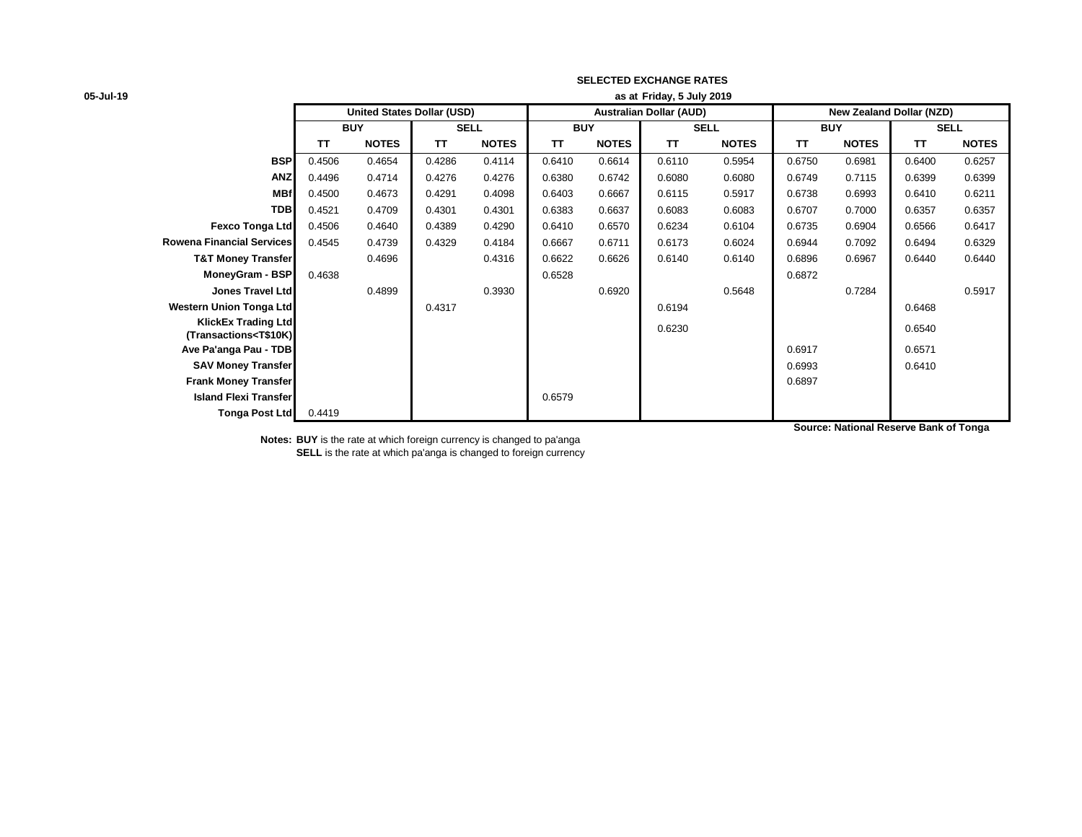| 05-Jul-19 |  |  |
|-----------|--|--|
|-----------|--|--|

| 05-Jul-19                                                                                                                                                                                       |            |                                   |           |              |           |              | as at Friday, 5 July 2019      |              |                          |              |           |              |
|-------------------------------------------------------------------------------------------------------------------------------------------------------------------------------------------------|------------|-----------------------------------|-----------|--------------|-----------|--------------|--------------------------------|--------------|--------------------------|--------------|-----------|--------------|
|                                                                                                                                                                                                 |            | <b>United States Dollar (USD)</b> |           |              |           |              | <b>Australian Dollar (AUD)</b> |              | New Zealand Dollar (NZD) |              |           |              |
|                                                                                                                                                                                                 | <b>BUY</b> |                                   |           | <b>SELL</b>  |           | <b>BUY</b>   |                                | <b>SELL</b>  |                          | <b>BUY</b>   |           | <b>SELL</b>  |
|                                                                                                                                                                                                 | <b>TT</b>  | <b>NOTES</b>                      | <b>TT</b> | <b>NOTES</b> | <b>TT</b> | <b>NOTES</b> | <b>TT</b>                      | <b>NOTES</b> | TΤ                       | <b>NOTES</b> | <b>TT</b> | <b>NOTES</b> |
| <b>BSP</b>                                                                                                                                                                                      | 0.4506     | 0.4654                            | 0.4286    | 0.4114       | 0.6410    | 0.6614       | 0.6110                         | 0.5954       | 0.6750                   | 0.6981       | 0.6400    | 0.6257       |
| <b>ANZ</b>                                                                                                                                                                                      | 0.4496     | 0.4714                            | 0.4276    | 0.4276       | 0.6380    | 0.6742       | 0.6080                         | 0.6080       | 0.6749                   | 0.7115       | 0.6399    | 0.6399       |
| <b>MBf</b>                                                                                                                                                                                      | 0.4500     | 0.4673                            | 0.4291    | 0.4098       | 0.6403    | 0.6667       | 0.6115                         | 0.5917       | 0.6738                   | 0.6993       | 0.6410    | 0.6211       |
| <b>TDB</b>                                                                                                                                                                                      | 0.4521     | 0.4709                            | 0.4301    | 0.4301       | 0.6383    | 0.6637       | 0.6083                         | 0.6083       | 0.6707                   | 0.7000       | 0.6357    | 0.6357       |
| Fexco Tonga Ltd                                                                                                                                                                                 | 0.4506     | 0.4640                            | 0.4389    | 0.4290       | 0.6410    | 0.6570       | 0.6234                         | 0.6104       | 0.6735                   | 0.6904       | 0.6566    | 0.6417       |
| <b>Rowena Financial Services</b>                                                                                                                                                                | 0.4545     | 0.4739                            | 0.4329    | 0.4184       | 0.6667    | 0.6711       | 0.6173                         | 0.6024       | 0.6944                   | 0.7092       | 0.6494    | 0.6329       |
| <b>T&amp;T Money Transfer</b>                                                                                                                                                                   |            | 0.4696                            |           | 0.4316       | 0.6622    | 0.6626       | 0.6140                         | 0.6140       | 0.6896                   | 0.6967       | 0.6440    | 0.6440       |
| MoneyGram - BSP                                                                                                                                                                                 | 0.4638     |                                   |           |              | 0.6528    |              |                                |              | 0.6872                   |              |           |              |
| Jones Travel Ltd                                                                                                                                                                                |            | 0.4899                            |           | 0.3930       |           | 0.6920       |                                | 0.5648       |                          | 0.7284       |           | 0.5917       |
| <b>Western Union Tonga Ltd</b>                                                                                                                                                                  |            |                                   | 0.4317    |              |           |              | 0.6194                         |              |                          |              | 0.6468    |              |
| <b>KlickEx Trading Ltd</b><br>(Transactions <t\$10k)< th=""><th></th><th></th><th></th><th></th><th></th><th></th><th>0.6230</th><th></th><th></th><th></th><th>0.6540</th><th></th></t\$10k)<> |            |                                   |           |              |           |              | 0.6230                         |              |                          |              | 0.6540    |              |
| Ave Pa'anga Pau - TDB                                                                                                                                                                           |            |                                   |           |              |           |              |                                |              | 0.6917                   |              | 0.6571    |              |
| <b>SAV Money Transfer</b>                                                                                                                                                                       |            |                                   |           |              |           |              |                                |              | 0.6993                   |              | 0.6410    |              |
| <b>Frank Money Transfer</b>                                                                                                                                                                     |            |                                   |           |              |           |              |                                |              | 0.6897                   |              |           |              |
| <b>Island Flexi Transfer</b>                                                                                                                                                                    |            |                                   |           |              | 0.6579    |              |                                |              |                          |              |           |              |
| <b>Tonga Post Ltd</b>                                                                                                                                                                           | 0.4419     |                                   |           |              |           |              |                                |              |                          |              |           |              |

**Source: National Reserve Bank of Tonga**

**Notes: BUY** is the rate at which foreign currency is changed to pa'anga **SELL** is the rate at which pa'anga is changed to foreign currency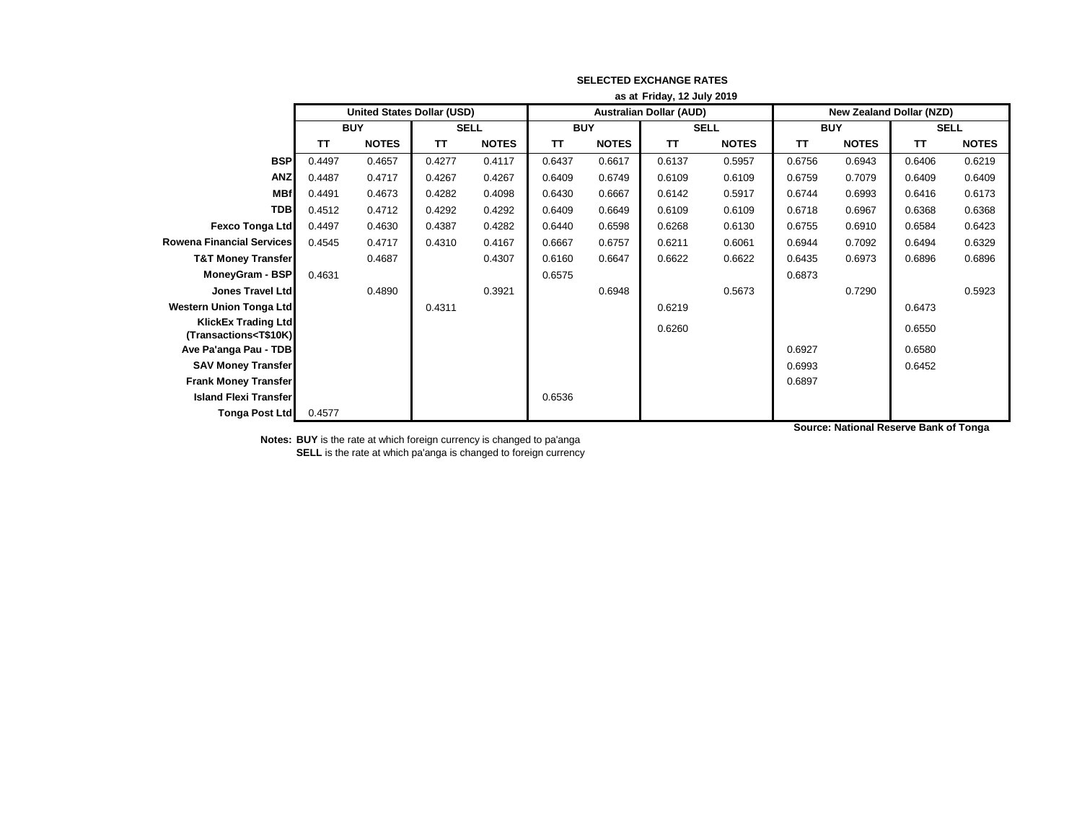|                                                                                                                                                                                                 | as at Friday, 12 July 2019 |                                   |             |              |            |              |                                |              |                                 |              |             |              |
|-------------------------------------------------------------------------------------------------------------------------------------------------------------------------------------------------|----------------------------|-----------------------------------|-------------|--------------|------------|--------------|--------------------------------|--------------|---------------------------------|--------------|-------------|--------------|
|                                                                                                                                                                                                 |                            | <b>United States Dollar (USD)</b> |             |              |            |              | <b>Australian Dollar (AUD)</b> |              | <b>New Zealand Dollar (NZD)</b> |              |             |              |
|                                                                                                                                                                                                 | <b>BUY</b>                 |                                   | <b>SELL</b> |              | <b>BUY</b> |              | <b>SELL</b>                    |              | <b>BUY</b>                      |              | <b>SELL</b> |              |
|                                                                                                                                                                                                 | TΤ                         | <b>NOTES</b>                      | <b>TT</b>   | <b>NOTES</b> | ΤT         | <b>NOTES</b> | <b>TT</b>                      | <b>NOTES</b> | TΤ                              | <b>NOTES</b> | <b>TT</b>   | <b>NOTES</b> |
| <b>BSP</b>                                                                                                                                                                                      | 0.4497                     | 0.4657                            | 0.4277      | 0.4117       | 0.6437     | 0.6617       | 0.6137                         | 0.5957       | 0.6756                          | 0.6943       | 0.6406      | 0.6219       |
| <b>ANZ</b>                                                                                                                                                                                      | 0.4487                     | 0.4717                            | 0.4267      | 0.4267       | 0.6409     | 0.6749       | 0.6109                         | 0.6109       | 0.6759                          | 0.7079       | 0.6409      | 0.6409       |
| <b>MBf</b>                                                                                                                                                                                      | 0.4491                     | 0.4673                            | 0.4282      | 0.4098       | 0.6430     | 0.6667       | 0.6142                         | 0.5917       | 0.6744                          | 0.6993       | 0.6416      | 0.6173       |
| <b>TDB</b>                                                                                                                                                                                      | 0.4512                     | 0.4712                            | 0.4292      | 0.4292       | 0.6409     | 0.6649       | 0.6109                         | 0.6109       | 0.6718                          | 0.6967       | 0.6368      | 0.6368       |
| <b>Fexco Tonga Ltd</b>                                                                                                                                                                          | 0.4497                     | 0.4630                            | 0.4387      | 0.4282       | 0.6440     | 0.6598       | 0.6268                         | 0.6130       | 0.6755                          | 0.6910       | 0.6584      | 0.6423       |
| <b>Rowena Financial Services</b>                                                                                                                                                                | 0.4545                     | 0.4717                            | 0.4310      | 0.4167       | 0.6667     | 0.6757       | 0.6211                         | 0.6061       | 0.6944                          | 0.7092       | 0.6494      | 0.6329       |
| <b>T&amp;T Money Transfer</b>                                                                                                                                                                   |                            | 0.4687                            |             | 0.4307       | 0.6160     | 0.6647       | 0.6622                         | 0.6622       | 0.6435                          | 0.6973       | 0.6896      | 0.6896       |
| MoneyGram - BSP                                                                                                                                                                                 | 0.4631                     |                                   |             |              | 0.6575     |              |                                |              | 0.6873                          |              |             |              |
| <b>Jones Travel Ltd</b>                                                                                                                                                                         |                            | 0.4890                            |             | 0.3921       |            | 0.6948       |                                | 0.5673       |                                 | 0.7290       |             | 0.5923       |
| <b>Western Union Tonga Ltd</b>                                                                                                                                                                  |                            |                                   | 0.4311      |              |            |              | 0.6219                         |              |                                 |              | 0.6473      |              |
| <b>KlickEx Trading Ltd</b><br>(Transactions <t\$10k)< th=""><th></th><th></th><th></th><th></th><th></th><th></th><th>0.6260</th><th></th><th></th><th></th><th>0.6550</th><th></th></t\$10k)<> |                            |                                   |             |              |            |              | 0.6260                         |              |                                 |              | 0.6550      |              |
| Ave Pa'anga Pau - TDB                                                                                                                                                                           |                            |                                   |             |              |            |              |                                |              | 0.6927                          |              | 0.6580      |              |
| <b>SAV Money Transfer</b>                                                                                                                                                                       |                            |                                   |             |              |            |              |                                |              | 0.6993                          |              | 0.6452      |              |
| <b>Frank Money Transfer</b>                                                                                                                                                                     |                            |                                   |             |              |            |              |                                |              | 0.6897                          |              |             |              |
| <b>Island Flexi Transfer</b>                                                                                                                                                                    |                            |                                   |             |              | 0.6536     |              |                                |              |                                 |              |             |              |
| <b>Tonga Post Ltd</b>                                                                                                                                                                           | 0.4577                     |                                   |             |              |            |              |                                |              |                                 |              |             |              |

**Source: National Reserve Bank of Tonga**

**Notes: BUY** is the rate at which foreign currency is changed to pa'anga **SELL** is the rate at which pa'anga is changed to foreign currency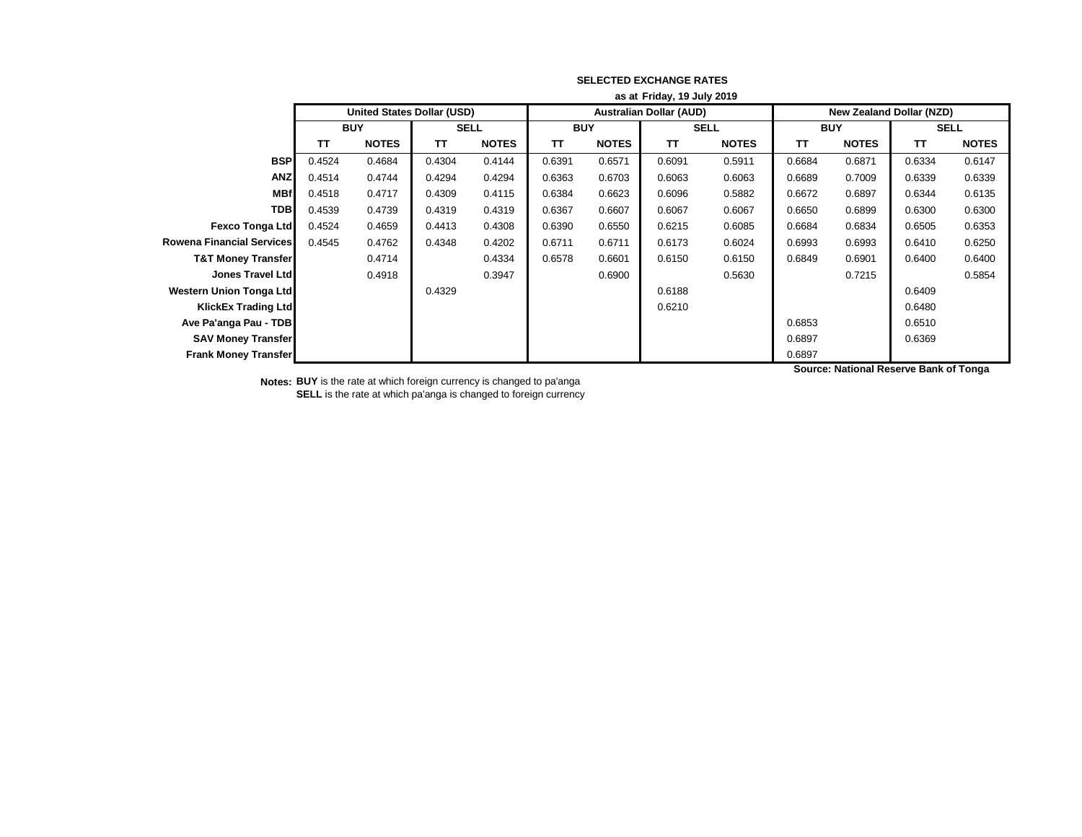|                                  | as at Friday, 19 July 2019 |                                   |             |              |            |              |                                |              |                                 |              |                                        |              |  |
|----------------------------------|----------------------------|-----------------------------------|-------------|--------------|------------|--------------|--------------------------------|--------------|---------------------------------|--------------|----------------------------------------|--------------|--|
|                                  |                            | <b>United States Dollar (USD)</b> |             |              |            |              | <b>Australian Dollar (AUD)</b> |              | <b>New Zealand Dollar (NZD)</b> |              |                                        |              |  |
|                                  |                            | <b>BUY</b>                        | <b>SELL</b> |              | <b>BUY</b> |              | <b>SELL</b>                    |              | <b>BUY</b>                      |              | <b>SELL</b>                            |              |  |
|                                  | TΤ                         | <b>NOTES</b>                      | <b>TT</b>   | <b>NOTES</b> | <b>TT</b>  | <b>NOTES</b> | <b>TT</b>                      | <b>NOTES</b> | TΤ                              | <b>NOTES</b> | <b>TT</b>                              | <b>NOTES</b> |  |
| <b>BSP</b>                       | 0.4524                     | 0.4684                            | 0.4304      | 0.4144       | 0.6391     | 0.6571       | 0.6091                         | 0.5911       | 0.6684                          | 0.6871       | 0.6334                                 | 0.6147       |  |
| <b>ANZ</b>                       | 0.4514                     | 0.4744                            | 0.4294      | 0.4294       | 0.6363     | 0.6703       | 0.6063                         | 0.6063       | 0.6689                          | 0.7009       | 0.6339                                 | 0.6339       |  |
| <b>MBf</b>                       | 0.4518                     | 0.4717                            | 0.4309      | 0.4115       | 0.6384     | 0.6623       | 0.6096                         | 0.5882       | 0.6672                          | 0.6897       | 0.6344                                 | 0.6135       |  |
| <b>TDB</b>                       | 0.4539                     | 0.4739                            | 0.4319      | 0.4319       | 0.6367     | 0.6607       | 0.6067                         | 0.6067       | 0.6650                          | 0.6899       | 0.6300                                 | 0.6300       |  |
| <b>Fexco Tonga Ltd</b>           | 0.4524                     | 0.4659                            | 0.4413      | 0.4308       | 0.6390     | 0.6550       | 0.6215                         | 0.6085       | 0.6684                          | 0.6834       | 0.6505                                 | 0.6353       |  |
| <b>Rowena Financial Services</b> | 0.4545                     | 0.4762                            | 0.4348      | 0.4202       | 0.6711     | 0.6711       | 0.6173                         | 0.6024       | 0.6993                          | 0.6993       | 0.6410                                 | 0.6250       |  |
| <b>T&amp;T Money Transfer</b>    |                            | 0.4714                            |             | 0.4334       | 0.6578     | 0.6601       | 0.6150                         | 0.6150       | 0.6849                          | 0.6901       | 0.6400                                 | 0.6400       |  |
| <b>Jones Travel Ltd</b>          |                            | 0.4918                            |             | 0.3947       |            | 0.6900       |                                | 0.5630       |                                 | 0.7215       |                                        | 0.5854       |  |
| Western Union Tonga Ltd          |                            |                                   | 0.4329      |              |            |              | 0.6188                         |              |                                 |              | 0.6409                                 |              |  |
| <b>KlickEx Trading Ltd</b>       |                            |                                   |             |              |            |              | 0.6210                         |              |                                 |              | 0.6480                                 |              |  |
| Ave Pa'anga Pau - TDB            |                            |                                   |             |              |            |              |                                |              | 0.6853                          |              | 0.6510                                 |              |  |
| <b>SAV Money Transfer</b>        |                            |                                   |             |              |            |              |                                |              | 0.6897                          |              | 0.6369                                 |              |  |
| <b>Frank Money Transfer</b>      |                            |                                   |             |              |            |              |                                |              | 0.6897                          |              |                                        |              |  |
|                                  |                            |                                   |             |              |            |              |                                |              |                                 |              | Source: National Reserve Bank of Tonga |              |  |

**Notes: BUY** is the rate at which foreign currency is changed to pa'anga **SELL** is the rate at which pa'anga is changed to foreign currency